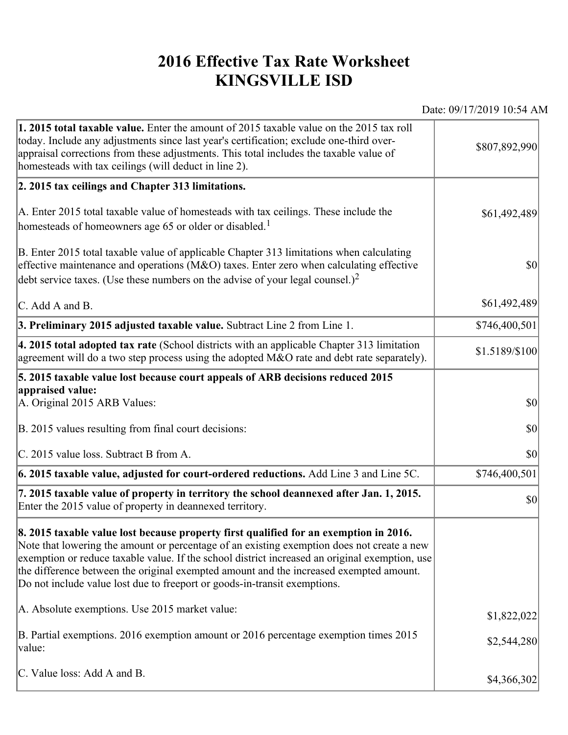## **2016 Effective Tax Rate Worksheet KINGSVILLE ISD**

Date: 09/17/2019 10:54 AM

| 1. 2015 total taxable value. Enter the amount of 2015 taxable value on the 2015 tax roll<br>today. Include any adjustments since last year's certification; exclude one-third over-<br>appraisal corrections from these adjustments. This total includes the taxable value of<br>homesteads with tax ceilings (will deduct in line 2).                                                                                                                       | \$807,892,990  |
|--------------------------------------------------------------------------------------------------------------------------------------------------------------------------------------------------------------------------------------------------------------------------------------------------------------------------------------------------------------------------------------------------------------------------------------------------------------|----------------|
| 2. 2015 tax ceilings and Chapter 313 limitations.                                                                                                                                                                                                                                                                                                                                                                                                            |                |
| A. Enter 2015 total taxable value of homesteads with tax ceilings. These include the<br>homesteads of homeowners age 65 or older or disabled. <sup>1</sup>                                                                                                                                                                                                                                                                                                   | \$61,492,489   |
| B. Enter 2015 total taxable value of applicable Chapter 313 limitations when calculating<br>effective maintenance and operations ( $M&O$ ) taxes. Enter zero when calculating effective<br>debt service taxes. (Use these numbers on the advise of your legal counsel.) <sup>2</sup>                                                                                                                                                                         | $ 10\rangle$   |
| $\mathcal{C}$ . Add A and B.                                                                                                                                                                                                                                                                                                                                                                                                                                 | \$61,492,489   |
| 3. Preliminary 2015 adjusted taxable value. Subtract Line 2 from Line 1.                                                                                                                                                                                                                                                                                                                                                                                     | \$746,400,501  |
| 4. 2015 total adopted tax rate (School districts with an applicable Chapter 313 limitation<br>agreement will do a two step process using the adopted M&O rate and debt rate separately).                                                                                                                                                                                                                                                                     | \$1.5189/\$100 |
| 5. 2015 taxable value lost because court appeals of ARB decisions reduced 2015                                                                                                                                                                                                                                                                                                                                                                               |                |
| appraised value:<br>A. Original 2015 ARB Values:                                                                                                                                                                                                                                                                                                                                                                                                             | $ 10\rangle$   |
| B. 2015 values resulting from final court decisions:                                                                                                                                                                                                                                                                                                                                                                                                         | \$0            |
| C. 2015 value loss. Subtract B from A.                                                                                                                                                                                                                                                                                                                                                                                                                       | $ 10\rangle$   |
| 6. 2015 taxable value, adjusted for court-ordered reductions. Add Line 3 and Line 5C.                                                                                                                                                                                                                                                                                                                                                                        | \$746,400,501  |
| 7. 2015 taxable value of property in territory the school deannexed after Jan. 1, 2015.<br>Enter the 2015 value of property in deannexed territory.                                                                                                                                                                                                                                                                                                          | $ 10\rangle$   |
| 8. 2015 taxable value lost because property first qualified for an exemption in 2016.<br>Note that lowering the amount or percentage of an existing exemption does not create a new<br>exemption or reduce taxable value. If the school district increased an original exemption, use<br>the difference between the original exempted amount and the increased exempted amount.<br>Do not include value lost due to freeport or goods-in-transit exemptions. |                |
| A. Absolute exemptions. Use 2015 market value:                                                                                                                                                                                                                                                                                                                                                                                                               | \$1,822,022    |
| B. Partial exemptions. 2016 exemption amount or 2016 percentage exemption times 2015<br>value:                                                                                                                                                                                                                                                                                                                                                               | \$2,544,280    |
| C. Value loss: Add A and B.                                                                                                                                                                                                                                                                                                                                                                                                                                  | \$4,366,302    |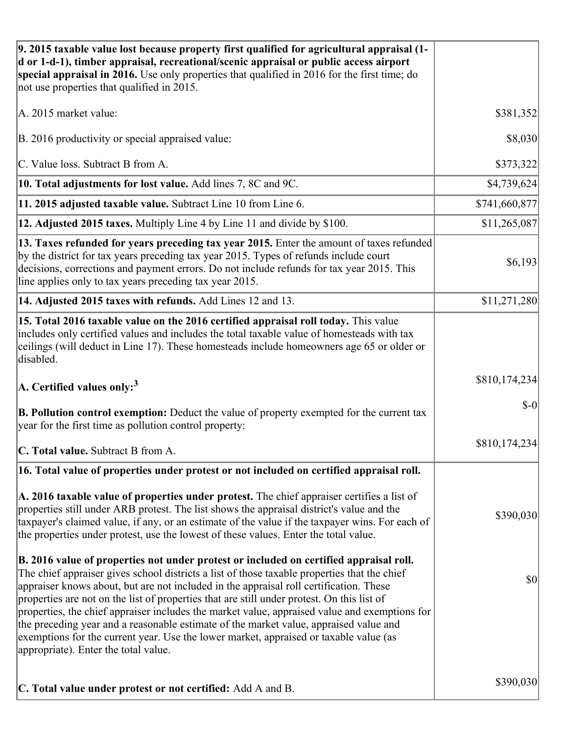| 9. 2015 taxable value lost because property first qualified for agricultural appraisal (1-<br>d or 1-d-1), timber appraisal, recreational/scenic appraisal or public access airport<br>special appraisal in 2016. Use only properties that qualified in 2016 for the first time; do<br>not use properties that qualified in 2015.                                                                                                                                                                                                                                                                                                                                                                         |               |
|-----------------------------------------------------------------------------------------------------------------------------------------------------------------------------------------------------------------------------------------------------------------------------------------------------------------------------------------------------------------------------------------------------------------------------------------------------------------------------------------------------------------------------------------------------------------------------------------------------------------------------------------------------------------------------------------------------------|---------------|
| A. 2015 market value:                                                                                                                                                                                                                                                                                                                                                                                                                                                                                                                                                                                                                                                                                     | \$381,352     |
| B. 2016 productivity or special appraised value:                                                                                                                                                                                                                                                                                                                                                                                                                                                                                                                                                                                                                                                          | \$8,030       |
| C. Value loss. Subtract B from A.                                                                                                                                                                                                                                                                                                                                                                                                                                                                                                                                                                                                                                                                         | \$373,322     |
| 10. Total adjustments for lost value. Add lines 7, 8C and 9C.                                                                                                                                                                                                                                                                                                                                                                                                                                                                                                                                                                                                                                             | \$4,739,624   |
| 11. 2015 adjusted taxable value. Subtract Line 10 from Line 6.                                                                                                                                                                                                                                                                                                                                                                                                                                                                                                                                                                                                                                            | \$741,660,877 |
| 12. Adjusted 2015 taxes. Multiply Line 4 by Line 11 and divide by \$100.                                                                                                                                                                                                                                                                                                                                                                                                                                                                                                                                                                                                                                  | \$11,265,087  |
| 13. Taxes refunded for years preceding tax year 2015. Enter the amount of taxes refunded<br>by the district for tax years preceding tax year 2015. Types of refunds include court<br>decisions, corrections and payment errors. Do not include refunds for tax year 2015. This<br>line applies only to tax years preceding tax year 2015.                                                                                                                                                                                                                                                                                                                                                                 | \$6,193       |
| 14. Adjusted 2015 taxes with refunds. Add Lines 12 and 13.                                                                                                                                                                                                                                                                                                                                                                                                                                                                                                                                                                                                                                                | \$11,271,280  |
| 15. Total 2016 taxable value on the 2016 certified appraisal roll today. This value<br>includes only certified values and includes the total taxable value of homesteads with tax<br>ceilings (will deduct in Line 17). These homesteads include homeowners age 65 or older or<br>disabled.                                                                                                                                                                                                                                                                                                                                                                                                               |               |
| A. Certified values only: $3$                                                                                                                                                                                                                                                                                                                                                                                                                                                                                                                                                                                                                                                                             | \$810,174,234 |
| <b>B. Pollution control exemption:</b> Deduct the value of property exempted for the current tax<br>year for the first time as pollution control property:                                                                                                                                                                                                                                                                                                                                                                                                                                                                                                                                                | $$-0$         |
| C. Total value. Subtract B from A.                                                                                                                                                                                                                                                                                                                                                                                                                                                                                                                                                                                                                                                                        | \$810,174,234 |
| 16. Total value of properties under protest or not included on certified appraisal roll.                                                                                                                                                                                                                                                                                                                                                                                                                                                                                                                                                                                                                  |               |
| A. 2016 taxable value of properties under protest. The chief appraiser certifies a list of<br>properties still under ARB protest. The list shows the appraisal district's value and the<br>taxpayer's claimed value, if any, or an estimate of the value if the taxpayer wins. For each of<br>the properties under protest, use the lowest of these values. Enter the total value.                                                                                                                                                                                                                                                                                                                        | \$390,030     |
| B. 2016 value of properties not under protest or included on certified appraisal roll.<br>The chief appraiser gives school districts a list of those taxable properties that the chief<br>appraiser knows about, but are not included in the appraisal roll certification. These<br>properties are not on the list of properties that are still under protest. On this list of<br>properties, the chief appraiser includes the market value, appraised value and exemptions for<br>the preceding year and a reasonable estimate of the market value, appraised value and<br>exemptions for the current year. Use the lower market, appraised or taxable value (as<br>appropriate). Enter the total value. | \$0           |
| C. Total value under protest or not certified: Add A and B.                                                                                                                                                                                                                                                                                                                                                                                                                                                                                                                                                                                                                                               | \$390,030     |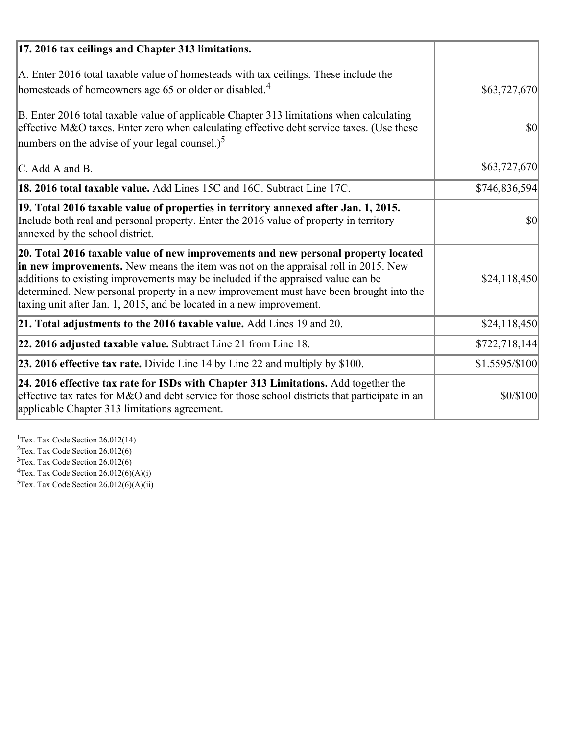| 17. 2016 tax ceilings and Chapter 313 limitations.                                                                                                                                                                                                                                                                                                                                                                             |                |
|--------------------------------------------------------------------------------------------------------------------------------------------------------------------------------------------------------------------------------------------------------------------------------------------------------------------------------------------------------------------------------------------------------------------------------|----------------|
| A. Enter 2016 total taxable value of homesteads with tax ceilings. These include the<br>homesteads of homeowners age 65 or older or disabled. <sup>4</sup>                                                                                                                                                                                                                                                                     | \$63,727,670   |
| B. Enter 2016 total taxable value of applicable Chapter 313 limitations when calculating<br>effective M&O taxes. Enter zero when calculating effective debt service taxes. (Use these<br>numbers on the advise of your legal counsel.) <sup>5</sup>                                                                                                                                                                            | $\vert$ \$0    |
| C. Add A and B.                                                                                                                                                                                                                                                                                                                                                                                                                | \$63,727,670   |
| <b>18. 2016 total taxable value.</b> Add Lines 15C and 16C. Subtract Line 17C.                                                                                                                                                                                                                                                                                                                                                 | \$746,836,594  |
| 19. Total 2016 taxable value of properties in territory annexed after Jan. 1, 2015.<br>Include both real and personal property. Enter the 2016 value of property in territory<br>annexed by the school district.                                                                                                                                                                                                               | $\vert$ \$0    |
| 20. Total 2016 taxable value of new improvements and new personal property located<br>in new improvements. New means the item was not on the appraisal roll in 2015. New<br>additions to existing improvements may be included if the appraised value can be<br>determined. New personal property in a new improvement must have been brought into the<br>taxing unit after Jan. 1, 2015, and be located in a new improvement. | \$24,118,450   |
| 21. Total adjustments to the 2016 taxable value. Add Lines 19 and 20.                                                                                                                                                                                                                                                                                                                                                          | \$24,118,450   |
| 22. 2016 adjusted taxable value. Subtract Line 21 from Line 18.                                                                                                                                                                                                                                                                                                                                                                | \$722,718,144  |
| 23. 2016 effective tax rate. Divide Line 14 by Line 22 and multiply by \$100.                                                                                                                                                                                                                                                                                                                                                  | \$1.5595/\$100 |
| 24. 2016 effective tax rate for ISDs with Chapter 313 Limitations. Add together the<br>effective tax rates for M&O and debt service for those school districts that participate in an<br>applicable Chapter 313 limitations agreement.                                                                                                                                                                                         | \$0/\$100      |

<sup>1</sup>Tex. Tax Code Section 26.012(14)  $2$ Tex. Tax Code Section 26.012(6)  $3$ Tex. Tax Code Section 26.012(6)  ${}^{4}$ Tex. Tax Code Section 26.012(6)(A)(i)

 $5$ Tex. Tax Code Section 26.012(6)(A)(ii)